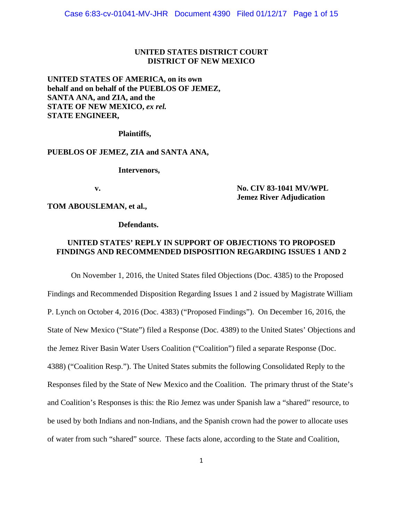### **UNITED STATES DISTRICT COURT DISTRICT OF NEW MEXICO**

**UNITED STATES OF AMERICA, on its own behalf and on behalf of the PUEBLOS OF JEMEZ, SANTA ANA, and ZIA, and the STATE OF NEW MEXICO, ex rel. STATE ENGINEER,** 

 **Plaintiffs,** 

## **PUEBLOS OF JEMEZ, ZIA and SANTA ANA,**

 **Intervenors,** 

### **v. No. CIV 83-1041 MV/WPL Jemez River Adjudication**

**TOM ABOUSLEMAN, et al.,** 

 **Defendants.** 

# **UNITED STATES' REPLY IN SUPPORT OF OBJECTIONS TO PROPOSED FINDINGS AND RECOMMENDED DISPOSITION REGARDING ISSUES 1 AND 2**

On November 1, 2016, the United States filed Objections (Doc. 4385) to the Proposed Findings and Recommended Disposition Regarding Issues 1 and 2 issued by Magistrate William P. Lynch on October 4, 2016 (Doc. 4383) ("Proposed Findings"). On December 16, 2016, the State of New Mexico ("State") filed a Response (Doc. 4389) to the United States' Objections and the Jemez River Basin Water Users Coalition ("Coalition") filed a separate Response (Doc. 4388) ("Coalition Resp."). The United States submits the following Consolidated Reply to the Responses filed by the State of New Mexico and the Coalition. The primary thrust of the State's and Coalition's Responses is this: the Rio Jemez was under Spanish law a "shared" resource, to be used by both Indians and non-Indians, and the Spanish crown had the power to allocate uses of water from such "shared" source. These facts alone, according to the State and Coalition,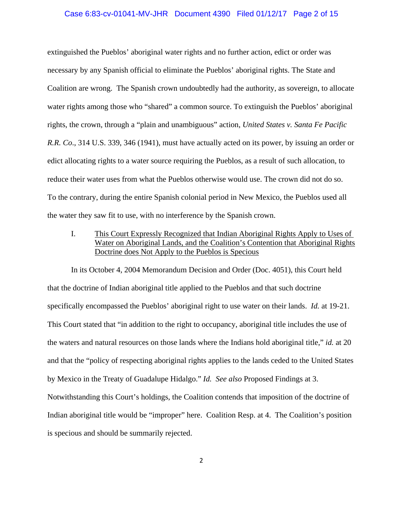### Case 6:83-cv-01041-MV-JHR Document 4390 Filed 01/12/17 Page 2 of 15

extinguished the Pueblos' aboriginal water rights and no further action, edict or order was necessary by any Spanish official to eliminate the Pueblos' aboriginal rights. The State and Coalition are wrong. The Spanish crown undoubtedly had the authority, as sovereign, to allocate water rights among those who "shared" a common source. To extinguish the Pueblos' aboriginal rights, the crown, through a "plain and unambiguous" action, *United States v. Santa Fe Pacific R.R. Co*., 314 U.S. 339, 346 (1941), must have actually acted on its power, by issuing an order or edict allocating rights to a water source requiring the Pueblos, as a result of such allocation, to reduce their water uses from what the Pueblos otherwise would use. The crown did not do so. To the contrary, during the entire Spanish colonial period in New Mexico, the Pueblos used all the water they saw fit to use, with no interference by the Spanish crown.

 I. This Court Expressly Recognized that Indian Aboriginal Rights Apply to Uses of Water on Aboriginal Lands, and the Coalition's Contention that Aboriginal Rights Doctrine does Not Apply to the Pueblos is Specious

 In its October 4, 2004 Memorandum Decision and Order (Doc. 4051), this Court held that the doctrine of Indian aboriginal title applied to the Pueblos and that such doctrine specifically encompassed the Pueblos' aboriginal right to use water on their lands. *Id.* at 19-21. This Court stated that "in addition to the right to occupancy, aboriginal title includes the use of the waters and natural resources on those lands where the Indians hold aboriginal title," *id.* at 20 and that the "policy of respecting aboriginal rights applies to the lands ceded to the United States by Mexico in the Treaty of Guadalupe Hidalgo." *Id. See also* Proposed Findings at 3. Notwithstanding this Court's holdings, the Coalition contends that imposition of the doctrine of Indian aboriginal title would be "improper" here. Coalition Resp. at 4. The Coalition's position is specious and should be summarily rejected.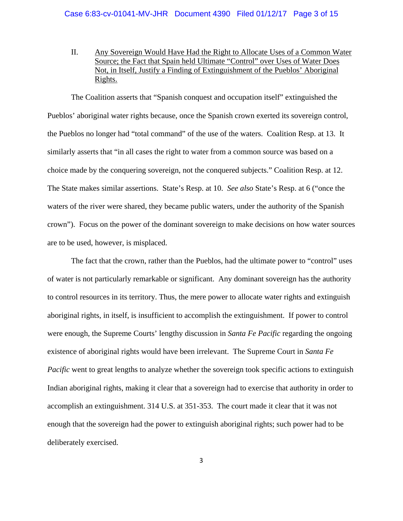II. Any Sovereign Would Have Had the Right to Allocate Uses of a Common Water Source; the Fact that Spain held Ultimate "Control" over Uses of Water Does Not, in Itself, Justify a Finding of Extinguishment of the Pueblos' Aboriginal Rights.

 The Coalition asserts that "Spanish conquest and occupation itself" extinguished the Pueblos' aboriginal water rights because, once the Spanish crown exerted its sovereign control, the Pueblos no longer had "total command" of the use of the waters. Coalition Resp. at 13. It similarly asserts that "in all cases the right to water from a common source was based on a choice made by the conquering sovereign, not the conquered subjects." Coalition Resp. at 12. The State makes similar assertions. State's Resp. at 10. *See also* State's Resp. at 6 ("once the waters of the river were shared, they became public waters, under the authority of the Spanish crown"). Focus on the power of the dominant sovereign to make decisions on how water sources are to be used, however, is misplaced.

 The fact that the crown, rather than the Pueblos, had the ultimate power to "control" uses of water is not particularly remarkable or significant. Any dominant sovereign has the authority to control resources in its territory. Thus, the mere power to allocate water rights and extinguish aboriginal rights, in itself, is insufficient to accomplish the extinguishment. If power to control were enough, the Supreme Courts' lengthy discussion in *Santa Fe Pacific* regarding the ongoing existence of aboriginal rights would have been irrelevant. The Supreme Court in *Santa Fe Pacific* went to great lengths to analyze whether the sovereign took specific actions to extinguish Indian aboriginal rights, making it clear that a sovereign had to exercise that authority in order to accomplish an extinguishment. 314 U.S. at 351-353. The court made it clear that it was not enough that the sovereign had the power to extinguish aboriginal rights; such power had to be deliberately exercised.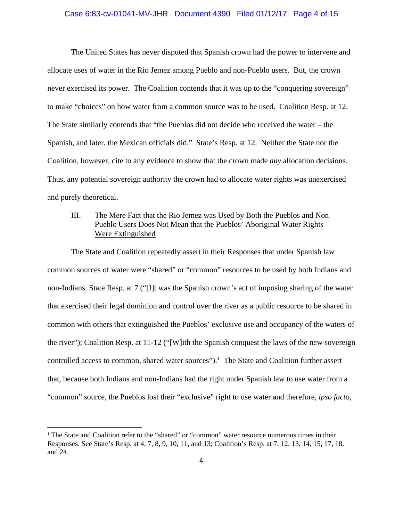# Case 6:83-cv-01041-MV-JHR Document 4390 Filed 01/12/17 Page 4 of 15

 The United States has never disputed that Spanish crown had the power to intervene and allocate uses of water in the Rio Jemez among Pueblo and non-Pueblo users. But, the crown never exercised its power. The Coalition contends that it was up to the "conquering sovereign" to make "choices" on how water from a common source was to be used. Coalition Resp. at 12. The State similarly contends that "the Pueblos did not decide who received the water – the Spanish, and later, the Mexican officials did." State's Resp. at 12. Neither the State nor the Coalition, however, cite to any evidence to show that the crown made *any* allocation decisions. Thus, any potential sovereign authority the crown had to allocate water rights was unexercised and purely theoretical.

# III. The Mere Fact that the Rio Jemez was Used by Both the Pueblos and Non Pueblo Users Does Not Mean that the Pueblos' Aboriginal Water Rights Were Extinguished

The State and Coalition repeatedly assert in their Responses that under Spanish law common sources of water were "shared" or "common" resources to be used by both Indians and non-Indians. State Resp. at 7 ("[I]t was the Spanish crown's act of imposing sharing of the water that exercised their legal dominion and control over the river as a public resource to be shared in common with others that extinguished the Pueblos' exclusive use and occupancy of the waters of the river"); Coalition Resp. at 11-12 ("[W]ith the Spanish conquest the laws of the new sovereign controlled access to common, shared water sources").<sup>1</sup> The State and Coalition further assert that, because both Indians and non-Indians had the right under Spanish law to use water from a "common" source, the Pueblos lost their "exclusive" right to use water and therefore, *ipso facto,*

<sup>&</sup>lt;sup>1</sup> The State and Coalition refer to the "shared" or "common" water resource numerous times in their Responses. See State's Resp. at 4, 7, 8, 9, 10, 11, and 13; Coalition's Resp. at 7, 12, 13, 14, 15, 17, 18, and 24.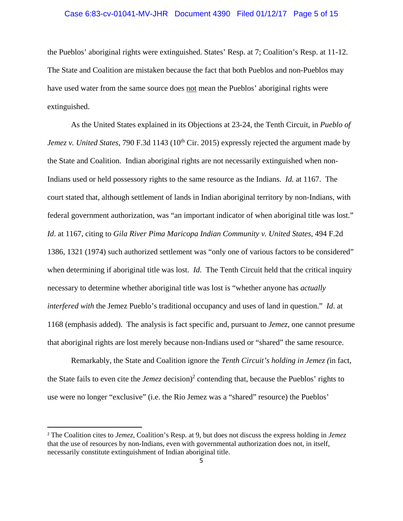# Case 6:83-cv-01041-MV-JHR Document 4390 Filed 01/12/17 Page 5 of 15

the Pueblos' aboriginal rights were extinguished. States' Resp. at 7; Coalition's Resp. at 11-12. The State and Coalition are mistaken because the fact that both Pueblos and non-Pueblos may have used water from the same source does not mean the Pueblos' aboriginal rights were extinguished.

As the United States explained in its Objections at 23-24, the Tenth Circuit, in *Pueblo of Jemez v. United States, 790 F.3d 1143 (10<sup>th</sup> Cir. 2015) expressly rejected the argument made by* the State and Coalition. Indian aboriginal rights are not necessarily extinguished when non-Indians used or held possessory rights to the same resource as the Indians. *Id.* at 1167. The court stated that, although settlement of lands in Indian aboriginal territory by non-Indians, with federal government authorization, was "an important indicator of when aboriginal title was lost." *Id*. at 1167, citing to *Gila River Pima Maricopa Indian Community v. United States*, 494 F.2d 1386, 1321 (1974) such authorized settlement was "only one of various factors to be considered" when determining if aboriginal title was lost. *Id*. The Tenth Circuit held that the critical inquiry necessary to determine whether aboriginal title was lost is "whether anyone has *actually interfered with* the Jemez Pueblo's traditional occupancy and uses of land in question." *Id*. at 1168 (emphasis added). The analysis is fact specific and, pursuant to *Jemez*, one cannot presume that aboriginal rights are lost merely because non-Indians used or "shared" the same resource.

 Remarkably, the State and Coalition ignore the *Tenth Circuit's holding in Jemez (*in fact, the State fails to even cite the *Jemez* decision)<sup>2</sup> contending that, because the Pueblos' rights to use were no longer "exclusive" (i.e. the Rio Jemez was a "shared" resource) the Pueblos'

<sup>2</sup> The Coalition cites to *Jemez,* Coalition's Resp. at 9, but does not discuss the express holding in *Jemez* that the use of resources by non-Indians, even with governmental authorization does not, in itself, necessarily constitute extinguishment of Indian aboriginal title.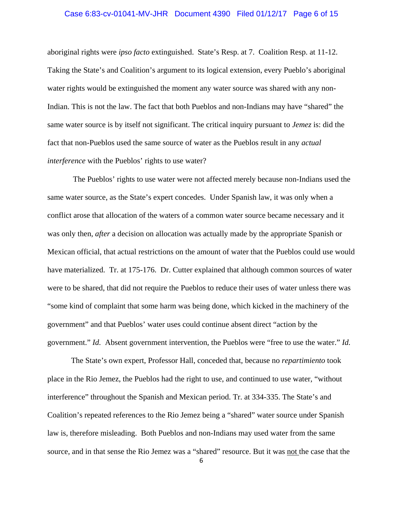#### Case 6:83-cv-01041-MV-JHR Document 4390 Filed 01/12/17 Page 6 of 15

aboriginal rights were *ipso facto* extinguished. State's Resp. at 7. Coalition Resp. at 11-12. Taking the State's and Coalition's argument to its logical extension, every Pueblo's aboriginal water rights would be extinguished the moment any water source was shared with any non-Indian. This is not the law. The fact that both Pueblos and non-Indians may have "shared" the same water source is by itself not significant. The critical inquiry pursuant to *Jemez* is: did the fact that non-Pueblos used the same source of water as the Pueblos result in any *actual interference* with the Pueblos' rights to use water?

 The Pueblos' rights to use water were not affected merely because non-Indians used the same water source, as the State's expert concedes. Under Spanish law, it was only when a conflict arose that allocation of the waters of a common water source became necessary and it was only then, *after* a decision on allocation was actually made by the appropriate Spanish or Mexican official, that actual restrictions on the amount of water that the Pueblos could use would have materialized. Tr. at 175-176. Dr. Cutter explained that although common sources of water were to be shared, that did not require the Pueblos to reduce their uses of water unless there was "some kind of complaint that some harm was being done, which kicked in the machinery of the government" and that Pueblos' water uses could continue absent direct "action by the government." *Id.* Absent government intervention, the Pueblos were "free to use the water." *Id.*

The State's own expert, Professor Hall, conceded that, because no *repartimiento* took place in the Rio Jemez, the Pueblos had the right to use, and continued to use water, "without interference" throughout the Spanish and Mexican period. Tr. at 334-335. The State's and Coalition's repeated references to the Rio Jemez being a "shared" water source under Spanish law is, therefore misleading. Both Pueblos and non-Indians may used water from the same source, and in that sense the Rio Jemez was a "shared" resource. But it was not the case that the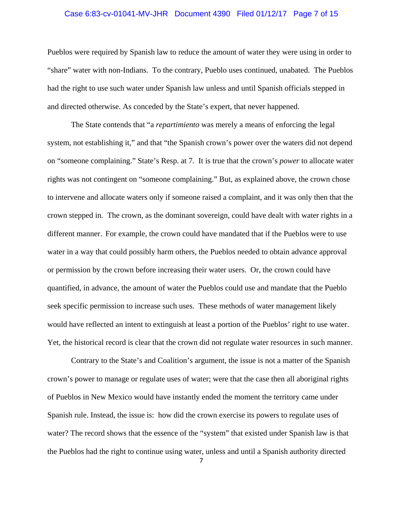#### Case 6:83-cv-01041-MV-JHR Document 4390 Filed 01/12/17 Page 7 of 15

Pueblos were required by Spanish law to reduce the amount of water they were using in order to "share" water with non-Indians. To the contrary, Pueblo uses continued, unabated. The Pueblos had the right to use such water under Spanish law unless and until Spanish officials stepped in and directed otherwise. As conceded by the State's expert, that never happened.

The State contends that "a *repartimiento* was merely a means of enforcing the legal system, not establishing it," and that "the Spanish crown's power over the waters did not depend on "someone complaining." State's Resp. at 7. It is true that the crown's *power* to allocate water rights was not contingent on "someone complaining." But, as explained above, the crown chose to intervene and allocate waters only if someone raised a complaint, and it was only then that the crown stepped in. The crown, as the dominant sovereign, could have dealt with water rights in a different manner. For example, the crown could have mandated that if the Pueblos were to use water in a way that could possibly harm others, the Pueblos needed to obtain advance approval or permission by the crown before increasing their water users. Or, the crown could have quantified, in advance, the amount of water the Pueblos could use and mandate that the Pueblo seek specific permission to increase such uses. These methods of water management likely would have reflected an intent to extinguish at least a portion of the Pueblos' right to use water. Yet, the historical record is clear that the crown did not regulate water resources in such manner.

Contrary to the State's and Coalition's argument, the issue is not a matter of the Spanish crown's power to manage or regulate uses of water; were that the case then all aboriginal rights of Pueblos in New Mexico would have instantly ended the moment the territory came under Spanish rule. Instead, the issue is: how did the crown exercise its powers to regulate uses of water? The record shows that the essence of the "system" that existed under Spanish law is that the Pueblos had the right to continue using water, unless and until a Spanish authority directed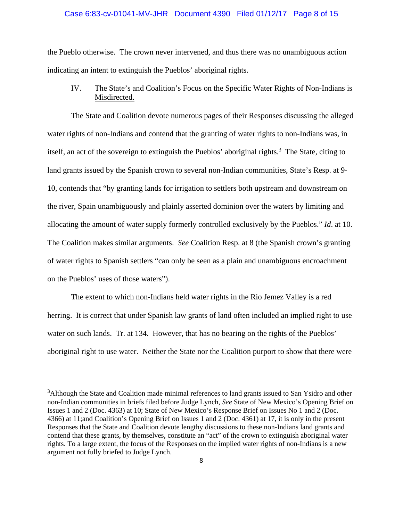#### Case 6:83-cv-01041-MV-JHR Document 4390 Filed 01/12/17 Page 8 of 15

the Pueblo otherwise. The crown never intervened, and thus there was no unambiguous action indicating an intent to extinguish the Pueblos' aboriginal rights.

 IV. The State's and Coalition's Focus on the Specific Water Rights of Non-Indians is Misdirected.

The State and Coalition devote numerous pages of their Responses discussing the alleged water rights of non-Indians and contend that the granting of water rights to non-Indians was, in itself, an act of the sovereign to extinguish the Pueblos' aboriginal rights.<sup>3</sup> The State, citing to land grants issued by the Spanish crown to several non-Indian communities, State's Resp. at 9- 10, contends that "by granting lands for irrigation to settlers both upstream and downstream on the river, Spain unambiguously and plainly asserted dominion over the waters by limiting and allocating the amount of water supply formerly controlled exclusively by the Pueblos." *Id*. at 10. The Coalition makes similar arguments. *See* Coalition Resp. at 8 (the Spanish crown's granting of water rights to Spanish settlers "can only be seen as a plain and unambiguous encroachment on the Pueblos' uses of those waters").

The extent to which non-Indians held water rights in the Rio Jemez Valley is a red herring. It is correct that under Spanish law grants of land often included an implied right to use water on such lands. Tr. at 134. However, that has no bearing on the rights of the Pueblos' aboriginal right to use water. Neither the State nor the Coalition purport to show that there were

<sup>&</sup>lt;sup>3</sup>Although the State and Coalition made minimal references to land grants issued to San Ysidro and other non-Indian communities in briefs filed before Judge Lynch, *See* State of New Mexico's Opening Brief on Issues 1 and 2 (Doc. 4363) at 10; State of New Mexico's Response Brief on Issues No 1 and 2 (Doc. 4366) at 11;and Coalition's Opening Brief on Issues 1 and 2 (Doc. 4361) at 17, it is only in the present Responses that the State and Coalition devote lengthy discussions to these non-Indians land grants and contend that these grants, by themselves, constitute an "act" of the crown to extinguish aboriginal water rights. To a large extent, the focus of the Responses on the implied water rights of non-Indians is a new argument not fully briefed to Judge Lynch.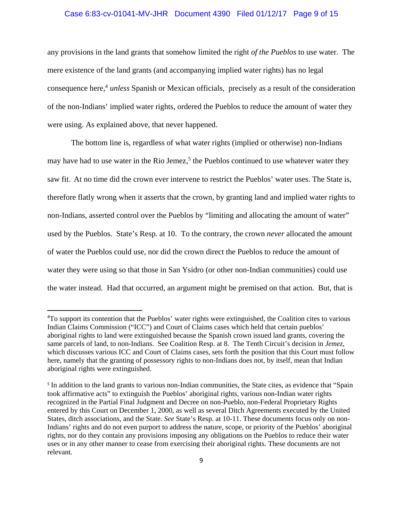#### Case 6:83-cv-01041-MV-JHR Document 4390 Filed 01/12/17 Page 9 of 15

any provisions in the land grants that somehow limited the right *of the Pueblos* to use water. The mere existence of the land grants (and accompanying implied water rights) has no legal consequence here,<sup>4</sup> *unless* Spanish or Mexican officials, precisely as a result of the consideration of the non-Indians' implied water rights, ordered the Pueblos to reduce the amount of water they were using. As explained above, that never happened.

 The bottom line is, regardless of what water rights (implied or otherwise) non-Indians may have had to use water in the Rio Jemez,<sup>5</sup> the Pueblos continued to use whatever water they saw fit. At no time did the crown ever intervene to restrict the Pueblos' water uses. The State is, therefore flatly wrong when it asserts that the crown, by granting land and implied water rights to non-Indians, asserted control over the Pueblos by "limiting and allocating the amount of water" used by the Pueblos. State's Resp. at 10. To the contrary, the crown *never* allocated the amount of water the Pueblos could use, nor did the crown direct the Pueblos to reduce the amount of water they were using so that those in San Ysidro (or other non-Indian communities) could use the water instead. Had that occurred, an argument might be premised on that action. But, that is

<sup>&</sup>lt;sup>4</sup>To support its contention that the Pueblos' water rights were extinguished, the Coalition cites to various Indian Claims Commission ("ICC") and Court of Claims cases which held that certain pueblos' aboriginal rights to land were extinguished because the Spanish crown issued land grants, covering the same parcels of land, to non-Indians. See Coalition Resp. at 8. The Tenth Circuit's decision in *Jemez*, which discusses various ICC and Court of Claims cases, sets forth the position that this Court must follow here, namely that the granting of possessory rights to non-Indians does not, by itself, mean that Indian aboriginal rights were extinguished.

<sup>5</sup> In addition to the land grants to various non-Indian communities, the State cites, as evidence that "Spain took affirmative acts" to extinguish the Pueblos' aboriginal rights, various non-Indian water rights recognized in the Partial Final Judgment and Decree on non-Pueblo, non-Federal Proprietary Rights entered by this Court on December 1, 2000, as well as several Ditch Agreements executed by the United States, ditch associations, and the State. *See* State's Resp. at 10-11. These documents focus only on non-Indians' rights and do not even purport to address the nature, scope, or priority of the Pueblos' aboriginal rights, nor do they contain any provisions imposing any obligations on the Pueblos to reduce their water uses or in any other manner to cease from exercising their aboriginal rights. These documents are not relevant.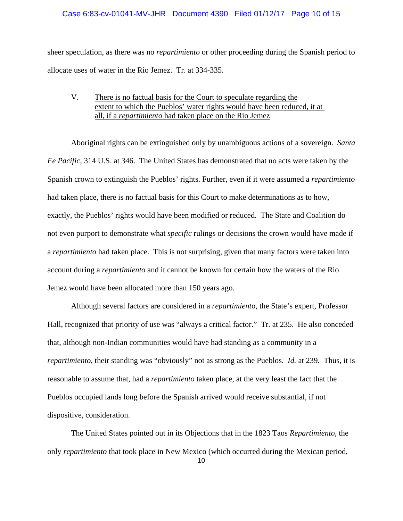# Case 6:83-cv-01041-MV-JHR Document 4390 Filed 01/12/17 Page 10 of 15

sheer speculation, as there was no *repartimiento* or other proceeding during the Spanish period to allocate uses of water in the Rio Jemez. Tr. at 334-335.

# V. There is no factual basis for the Court to speculate regarding the extent to which the Pueblos' water rights would have been reduced, it at all, if a *repartimiento* had taken place on the Rio Jemez

 Aboriginal rights can be extinguished only by unambiguous actions of a sovereign. *Santa Fe Pacific*, 314 U.S. at 346. The United States has demonstrated that no acts were taken by the Spanish crown to extinguish the Pueblos' rights. Further, even if it were assumed a *repartimiento* had taken place, there is no factual basis for this Court to make determinations as to how, exactly, the Pueblos' rights would have been modified or reduced. The State and Coalition do not even purport to demonstrate what *specific* rulings or decisions the crown would have made if a *repartimiento* had taken place. This is not surprising, given that many factors were taken into account during a *repartimiento* and it cannot be known for certain how the waters of the Rio Jemez would have been allocated more than 150 years ago.

Although several factors are considered in a *repartimient*o, the State's expert, Professor Hall, recognized that priority of use was "always a critical factor." Tr. at 235. He also conceded that, although non-Indian communities would have had standing as a community in a *repartimiento*, their standing was "obviously" not as strong as the Pueblos. *Id.* at 239. Thus, it is reasonable to assume that, had a *repartimiento* taken place, at the very least the fact that the Pueblos occupied lands long before the Spanish arrived would receive substantial, if not dispositive, consideration.

 The United States pointed out in its Objections that in the 1823 Taos *Repartimiento,* the only *repartimiento* that took place in New Mexico (which occurred during the Mexican period,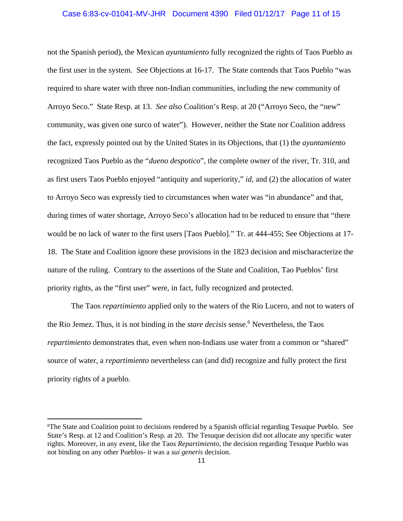#### Case 6:83-cv-01041-MV-JHR Document 4390 Filed 01/12/17 Page 11 of 15

not the Spanish period), the Mexican *ayuntamiento* fully recognized the rights of Taos Pueblo as the first user in the system. See Objections at 16-17. The State contends that Taos Pueblo "was required to share water with three non-Indian communities, including the new community of Arroyo Seco." State Resp. at 13. *See also* Coalition's Resp. at 20 ("Arroyo Seco, the "new" community, was given one surco of water"). However, neither the State nor Coalition address the fact, expressly pointed out by the United States in its Objections, that (1) the *ayuntamiento* recognized Taos Pueblo as the "*dueno despotico*", the complete owner of the river, Tr. 310, and as first users Taos Pueblo enjoyed "antiquity and superiority," *id*, and (2) the allocation of water to Arroyo Seco was expressly tied to circumstances when water was "in abundance" and that, during times of water shortage, Arroyo Seco's allocation had to be reduced to ensure that "there would be no lack of water to the first users [Taos Pueblo]." Tr. at 444-455; See Objections at 17- 18. The State and Coalition ignore these provisions in the 1823 decision and mischaracterize the nature of the ruling. Contrary to the assertions of the State and Coalition, Tao Pueblos' first priority rights, as the "first user" were, in fact, fully recognized and protected.

 The Taos *repartimiento* applied only to the waters of the Rio Lucero, and not to waters of the Rio Jemez. Thus, it is not binding in the *stare decisis* sense.<sup>6</sup> Nevertheless, the Taos *repartimiento* demonstrates that, even when non-Indians use water from a common or "shared" source of water, a *repartimiento* nevertheless can (and did) recognize and fully protect the first priority rights of a pueblo.

<sup>6</sup> The State and Coalition point to decisions rendered by a Spanish official regarding Tesuque Pueblo. See State's Resp. at 12 and Coalition's Resp. at 20. The Tesuque decision did not allocate any specific water rights. Moreover, in any event, like the Taos *Repartimiento*, the decision regarding Tesuque Pueblo was not binding on any other Pueblos- it was a *sui generis* decision.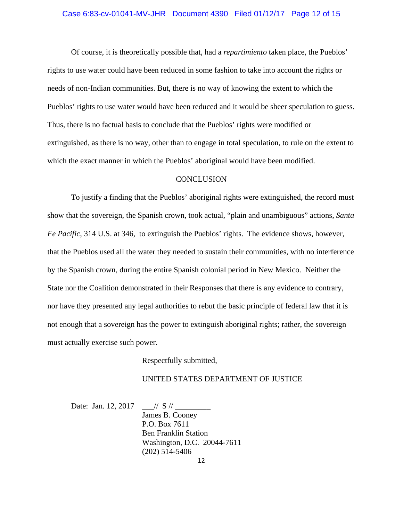#### Case 6:83-cv-01041-MV-JHR Document 4390 Filed 01/12/17 Page 12 of 15

 Of course, it is theoretically possible that, had a *repartimiento* taken place, the Pueblos' rights to use water could have been reduced in some fashion to take into account the rights or needs of non-Indian communities. But, there is no way of knowing the extent to which the Pueblos' rights to use water would have been reduced and it would be sheer speculation to guess. Thus, there is no factual basis to conclude that the Pueblos' rights were modified or extinguished, as there is no way, other than to engage in total speculation, to rule on the extent to which the exact manner in which the Pueblos' aboriginal would have been modified.

#### **CONCLUSION**

 To justify a finding that the Pueblos' aboriginal rights were extinguished, the record must show that the sovereign, the Spanish crown, took actual, "plain and unambiguous" actions, *Santa Fe Pacific*, 314 U.S. at 346, to extinguish the Pueblos' rights. The evidence shows, however, that the Pueblos used all the water they needed to sustain their communities, with no interference by the Spanish crown, during the entire Spanish colonial period in New Mexico. Neither the State nor the Coalition demonstrated in their Responses that there is any evidence to contrary, nor have they presented any legal authorities to rebut the basic principle of federal law that it is not enough that a sovereign has the power to extinguish aboriginal rights; rather, the sovereign must actually exercise such power.

Respectfully submitted,

### UNITED STATES DEPARTMENT OF JUSTICE

Date: Jan. 12, 2017  $\frac{1}{s}$  // S // James B. Cooney P.O. Box 7611 Ben Franklin Station Washington, D.C. 20044-7611 (202) 514-5406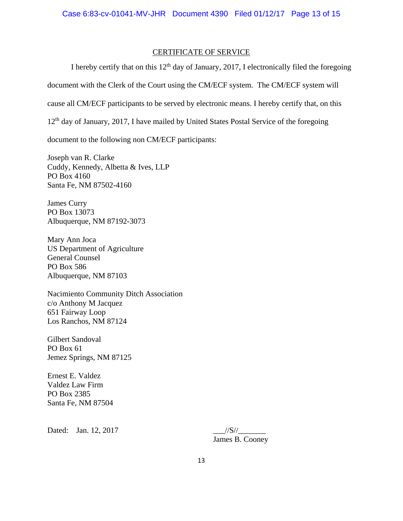## CERTIFICATE OF SERVICE

I hereby certify that on this  $12<sup>th</sup>$  day of January, 2017, I electronically filed the foregoing document with the Clerk of the Court using the CM/ECF system. The CM/ECF system will cause all CM/ECF participants to be served by electronic means. I hereby certify that, on this  $12<sup>th</sup>$  day of January, 2017, I have mailed by United States Postal Service of the foregoing document to the following non CM/ECF participants:

Joseph van R. Clarke Cuddy, Kennedy, Albetta & Ives, LLP PO Box 4160 Santa Fe, NM 87502-4160

James Curry PO Box 13073 Albuquerque, NM 87192-3073

Mary Ann Joca US Department of Agriculture General Counsel PO Box 586 Albuquerque, NM 87103

Nacimiento Community Ditch Association c/o Anthony M Jacquez 651 Fairway Loop Los Ranchos, NM 87124

Gilbert Sandoval PO Box 61 Jemez Springs, NM 87125

Ernest E. Valdez Valdez Law Firm PO Box 2385 Santa Fe, NM 87504

Dated: Jan. 12, 2017 \_\_\_//S//\_\_\_\_\_\_\_

James B. Cooney